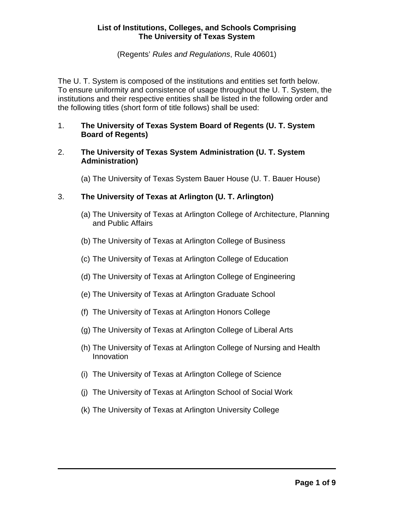(Regents' *Rules and Regulations*, Rule 40601)

The U. T. System is composed of the institutions and entities set forth below. To ensure uniformity and consistence of usage throughout the U. T. System, the institutions and their respective entities shall be listed in the following order and the following titles (short form of title follows) shall be used:

- 1. **The University of Texas System Board of Regents (U. T. System Board of Regents)**
- 2. **The University of Texas System Administration (U. T. System Administration)**

(a) The University of Texas System Bauer House (U. T. Bauer House)

# 3. **The University of Texas at Arlington (U. T. Arlington)**

- (a) The University of Texas at Arlington College of Architecture, Planning and Public Affairs
- (b) The University of Texas at Arlington College of Business
- (c) The University of Texas at Arlington College of Education
- (d) The University of Texas at Arlington College of Engineering
- (e) The University of Texas at Arlington Graduate School
- (f) The University of Texas at Arlington Honors College
- (g) The University of Texas at Arlington College of Liberal Arts
- (h) The University of Texas at Arlington College of Nursing and Health Innovation
- (i) The University of Texas at Arlington College of Science
- (j) The University of Texas at Arlington School of Social Work
- (k) The University of Texas at Arlington University College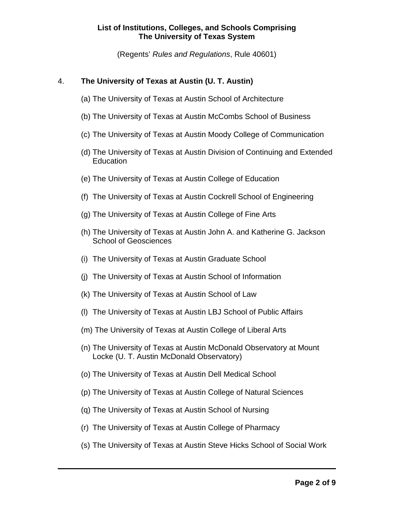(Regents' *Rules and Regulations*, Rule 40601)

# 4. **The University of Texas at Austin (U. T. Austin)**

- (a) The University of Texas at Austin School of Architecture
- (b) The University of Texas at Austin McCombs School of Business
- (c) The University of Texas at Austin Moody College of Communication
- (d) The University of Texas at Austin Division of Continuing and Extended Education
- (e) The University of Texas at Austin College of Education
- (f) The University of Texas at Austin Cockrell School of Engineering
- (g) The University of Texas at Austin College of Fine Arts
- (h) The University of Texas at Austin John A. and Katherine G. Jackson School of Geosciences
- (i) The University of Texas at Austin Graduate School
- (j) The University of Texas at Austin School of Information
- (k) The University of Texas at Austin School of Law
- (l) The University of Texas at Austin LBJ School of Public Affairs
- (m) The University of Texas at Austin College of Liberal Arts
- (n) The University of Texas at Austin McDonald Observatory at Mount Locke (U. T. Austin McDonald Observatory)
- (o) The University of Texas at Austin Dell Medical School
- (p) The University of Texas at Austin College of Natural Sciences
- (q) The University of Texas at Austin School of Nursing
- (r) The University of Texas at Austin College of Pharmacy
- (s) The University of Texas at Austin Steve Hicks School of Social Work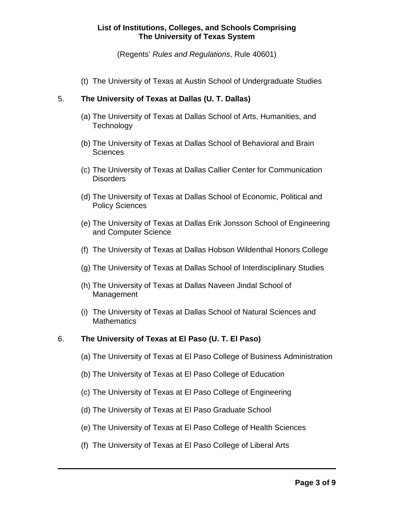(Regents' *Rules and Regulations*, Rule 40601)

(t) The University of Texas at Austin School of Undergraduate Studies

## 5. **The University of Texas at Dallas (U. T. Dallas)**

- (a) The University of Texas at Dallas School of Arts, Humanities, and **Technology**
- (b) The University of Texas at Dallas School of Behavioral and Brain **Sciences**
- (c) The University of Texas at Dallas Callier Center for Communication **Disorders**
- (d) The University of Texas at Dallas School of Economic, Political and Policy Sciences
- (e) The University of Texas at Dallas Erik Jonsson School of Engineering and Computer Science
- (f) The University of Texas at Dallas Hobson Wildenthal Honors College
- (g) The University of Texas at Dallas School of Interdisciplinary Studies
- (h) The University of Texas at Dallas Naveen Jindal School of Management
- (i) The University of Texas at Dallas School of Natural Sciences and **Mathematics**

## 6. **The University of Texas at El Paso (U. T. El Paso)**

- (a) The University of Texas at El Paso College of Business Administration
- (b) The University of Texas at El Paso College of Education
- (c) The University of Texas at El Paso College of Engineering
- (d) The University of Texas at El Paso Graduate School
- (e) The University of Texas at El Paso College of Health Sciences
- (f) The University of Texas at El Paso College of Liberal Arts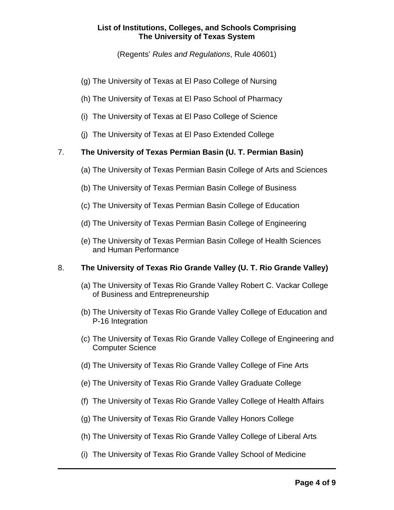(Regents' *Rules and Regulations*, Rule 40601)

- (g) The University of Texas at El Paso College of Nursing
- (h) The University of Texas at El Paso School of Pharmacy
- (i) The University of Texas at El Paso College of Science
- (j) The University of Texas at El Paso Extended College

# 7. **The University of Texas Permian Basin (U. T. Permian Basin)**

- (a) The University of Texas Permian Basin College of Arts and Sciences
- (b) The University of Texas Permian Basin College of Business
- (c) The University of Texas Permian Basin College of Education
- (d) The University of Texas Permian Basin College of Engineering
- (e) The University of Texas Permian Basin College of Health Sciences and Human Performance

## 8. **The University of Texas Rio Grande Valley (U. T. Rio Grande Valley)**

- (a) The University of Texas Rio Grande Valley Robert C. Vackar College of Business and Entrepreneurship
- (b) The University of Texas Rio Grande Valley College of Education and P-16 Integration
- (c) The University of Texas Rio Grande Valley College of Engineering and Computer Science
- (d) The University of Texas Rio Grande Valley College of Fine Arts
- (e) The University of Texas Rio Grande Valley Graduate College
- (f) The University of Texas Rio Grande Valley College of Health Affairs
- (g) The University of Texas Rio Grande Valley Honors College
- (h) The University of Texas Rio Grande Valley College of Liberal Arts
- (i) The University of Texas Rio Grande Valley School of Medicine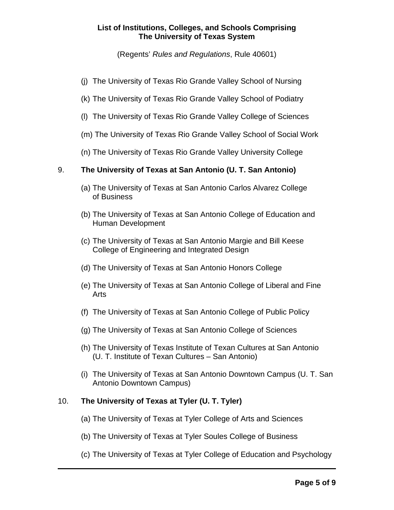(Regents' *Rules and Regulations*, Rule 40601)

- (j) The University of Texas Rio Grande Valley School of Nursing
- (k) The University of Texas Rio Grande Valley School of Podiatry
- (l) The University of Texas Rio Grande Valley College of Sciences
- (m) The University of Texas Rio Grande Valley School of Social Work
- (n) The University of Texas Rio Grande Valley University College

# 9. **The University of Texas at San Antonio (U. T. San Antonio)**

- (a) The University of Texas at San Antonio Carlos Alvarez College of Business
- (b) The University of Texas at San Antonio College of Education and Human Development
- (c) The University of Texas at San Antonio Margie and Bill Keese College of Engineering and Integrated Design
- (d) The University of Texas at San Antonio Honors College
- (e) The University of Texas at San Antonio College of Liberal and Fine Arts
- (f) The University of Texas at San Antonio College of Public Policy
- (g) The University of Texas at San Antonio College of Sciences
- (h) The University of Texas Institute of Texan Cultures at San Antonio (U. T. Institute of Texan Cultures – San Antonio)
- (i) The University of Texas at San Antonio Downtown Campus (U. T. San Antonio Downtown Campus)

# 10. **The University of Texas at Tyler (U. T. Tyler)**

- (a) The University of Texas at Tyler College of Arts and Sciences
- (b) The University of Texas at Tyler Soules College of Business
- (c) The University of Texas at Tyler College of Education and Psychology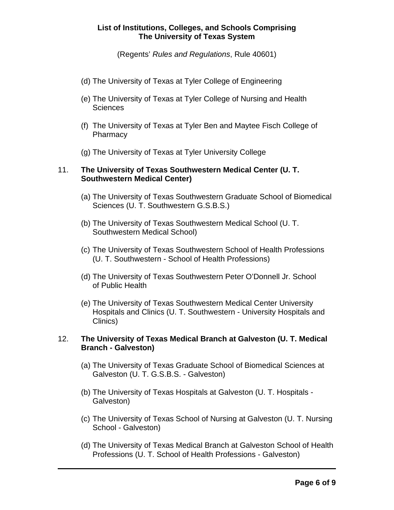(Regents' *Rules and Regulations*, Rule 40601)

- (d) The University of Texas at Tyler College of Engineering
- (e) The University of Texas at Tyler College of Nursing and Health **Sciences**
- (f) The University of Texas at Tyler Ben and Maytee Fisch College of **Pharmacy**
- (g) The University of Texas at Tyler University College

## 11. **The University of Texas Southwestern Medical Center (U. T. Southwestern Medical Center)**

- (a) The University of Texas Southwestern Graduate School of Biomedical Sciences (U. T. Southwestern G.S.B.S.)
- (b) The University of Texas Southwestern Medical School (U. T. Southwestern Medical School)
- (c) The University of Texas Southwestern School of Health Professions (U. T. Southwestern - School of Health Professions)
- (d) The University of Texas Southwestern Peter O'Donnell Jr. School of Public Health
- (e) The University of Texas Southwestern Medical Center University Hospitals and Clinics (U. T. Southwestern - University Hospitals and Clinics)

#### 12. **The University of Texas Medical Branch at Galveston (U. T. Medical Branch - Galveston)**

- (a) The University of Texas Graduate School of Biomedical Sciences at Galveston (U. T. G.S.B.S. - Galveston)
- (b) The University of Texas Hospitals at Galveston (U. T. Hospitals Galveston)
- (c) The University of Texas School of Nursing at Galveston (U. T. Nursing School - Galveston)
- (d) The University of Texas Medical Branch at Galveston School of Health Professions (U. T. School of Health Professions - Galveston)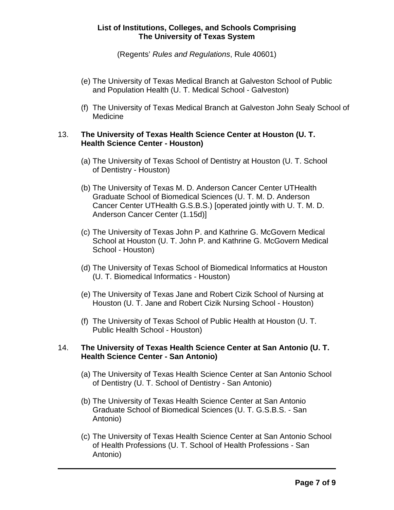(Regents' *Rules and Regulations*, Rule 40601)

- (e) The University of Texas Medical Branch at Galveston School of Public and Population Health (U. T. Medical School - Galveston)
- (f) The University of Texas Medical Branch at Galveston John Sealy School of Medicine

#### 13. **The University of Texas Health Science Center at Houston (U. T. Health Science Center - Houston)**

- (a) The University of Texas School of Dentistry at Houston (U. T. School of Dentistry - Houston)
- (b) The University of Texas M. D. Anderson Cancer Center UTHealth Graduate School of Biomedical Sciences (U. T. M. D. Anderson Cancer Center UTHealth G.S.B.S.) [operated jointly with U. T. M. D. Anderson Cancer Center (1.15d)]
- (c) The University of Texas John P. and Kathrine G. McGovern Medical School at Houston (U. T. John P. and Kathrine G. McGovern Medical School - Houston)
- (d) The University of Texas School of Biomedical Informatics at Houston (U. T. Biomedical Informatics - Houston)
- (e) The University of Texas Jane and Robert Cizik School of Nursing at Houston (U. T. Jane and Robert Cizik Nursing School - Houston)
- (f) The University of Texas School of Public Health at Houston (U. T. Public Health School - Houston)

## 14. **The University of Texas Health Science Center at San Antonio (U. T. Health Science Center - San Antonio)**

- (a) The University of Texas Health Science Center at San Antonio School of Dentistry (U. T. School of Dentistry - San Antonio)
- (b) The University of Texas Health Science Center at San Antonio Graduate School of Biomedical Sciences (U. T. G.S.B.S. - San Antonio)
- (c) The University of Texas Health Science Center at San Antonio School of Health Professions (U. T. School of Health Professions - San Antonio)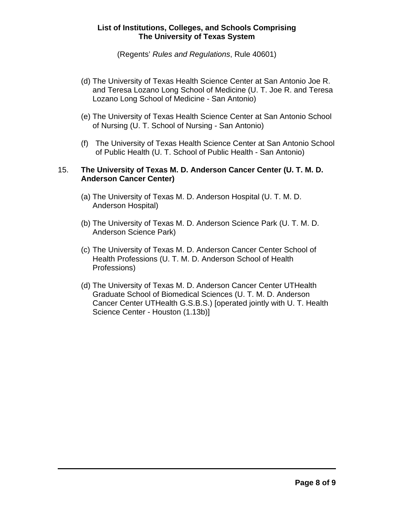(Regents' *Rules and Regulations*, Rule 40601)

- (d) The University of Texas Health Science Center at San Antonio Joe R. and Teresa Lozano Long School of Medicine (U. T. Joe R. and Teresa Lozano Long School of Medicine - San Antonio)
- (e) The University of Texas Health Science Center at San Antonio School of Nursing (U. T. School of Nursing - San Antonio)
- (f) The University of Texas Health Science Center at San Antonio School of Public Health (U. T. School of Public Health - San Antonio)

## 15. **The University of Texas M. D. Anderson Cancer Center (U. T. M. D. Anderson Cancer Center)**

- (a) The University of Texas M. D. Anderson Hospital (U. T. M. D. Anderson Hospital)
- (b) The University of Texas M. D. Anderson Science Park (U. T. M. D. Anderson Science Park)
- (c) The University of Texas M. D. Anderson Cancer Center School of Health Professions (U. T. M. D. Anderson School of Health Professions)
- (d) The University of Texas M. D. Anderson Cancer Center UTHealth Graduate School of Biomedical Sciences (U. T. M. D. Anderson Cancer Center UTHealth G.S.B.S.) [operated jointly with U. T. Health Science Center - Houston (1.13b)]